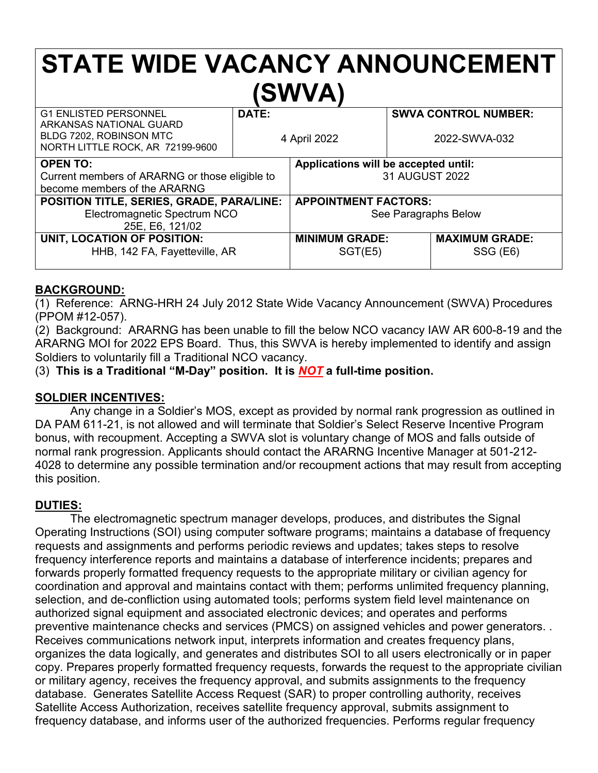# **STATE WIDE VACANCY ANNOUNCEMENT (SWVA)**

| <b>G1 ENLISTED PERSONNEL</b><br>ARKANSAS NATIONAL GUARD     | DATE:        |                                      | <b>SWVA CONTROL NUMBER:</b> |                       |
|-------------------------------------------------------------|--------------|--------------------------------------|-----------------------------|-----------------------|
| BLDG 7202, ROBINSON MTC<br>NORTH LITTLE ROCK, AR 72199-9600 | 4 April 2022 |                                      | 2022-SWVA-032               |                       |
| <b>OPEN TO:</b>                                             |              | Applications will be accepted until: |                             |                       |
| Current members of ARARNG or those eligible to              |              | 31 AUGUST 2022                       |                             |                       |
| become members of the ARARNG                                |              |                                      |                             |                       |
| POSITION TITLE, SERIES, GRADE, PARA/LINE:                   |              | <b>APPOINTMENT FACTORS:</b>          |                             |                       |
| Electromagnetic Spectrum NCO                                |              | See Paragraphs Below                 |                             |                       |
| 25E, E6, 121/02                                             |              |                                      |                             |                       |
| UNIT, LOCATION OF POSITION:                                 |              | <b>MINIMUM GRADE:</b>                |                             | <b>MAXIMUM GRADE:</b> |
| HHB, 142 FA, Fayetteville, AR                               |              | SGT(E5)                              |                             | SSG (E6)              |

## **BACKGROUND:**

(1) Reference: ARNG-HRH 24 July 2012 State Wide Vacancy Announcement (SWVA) Procedures (PPOM #12-057).

(2) Background: ARARNG has been unable to fill the below NCO vacancy IAW AR 600-8-19 and the ARARNG MOI for 2022 EPS Board. Thus, this SWVA is hereby implemented to identify and assign Soldiers to voluntarily fill a Traditional NCO vacancy.

(3) **This is a Traditional "M-Day" position. It is** *NOT* **a full-time position.**

#### **SOLDIER INCENTIVES:**

Any change in a Soldier's MOS, except as provided by normal rank progression as outlined in DA PAM 611-21, is not allowed and will terminate that Soldier's Select Reserve Incentive Program bonus, with recoupment. Accepting a SWVA slot is voluntary change of MOS and falls outside of normal rank progression. Applicants should contact the ARARNG Incentive Manager at 501-212- 4028 to determine any possible termination and/or recoupment actions that may result from accepting this position.

# **DUTIES:**

The electromagnetic spectrum manager develops, produces, and distributes the Signal Operating Instructions (SOI) using computer software programs; maintains a database of frequency requests and assignments and performs periodic reviews and updates; takes steps to resolve frequency interference reports and maintains a database of interference incidents; prepares and forwards properly formatted frequency requests to the appropriate military or civilian agency for coordination and approval and maintains contact with them; performs unlimited frequency planning, selection, and de-confliction using automated tools; performs system field level maintenance on authorized signal equipment and associated electronic devices; and operates and performs preventive maintenance checks and services (PMCS) on assigned vehicles and power generators. . Receives communications network input, interprets information and creates frequency plans, organizes the data logically, and generates and distributes SOI to all users electronically or in paper copy. Prepares properly formatted frequency requests, forwards the request to the appropriate civilian or military agency, receives the frequency approval, and submits assignments to the frequency database. Generates Satellite Access Request (SAR) to proper controlling authority, receives Satellite Access Authorization, receives satellite frequency approval, submits assignment to frequency database, and informs user of the authorized frequencies. Performs regular frequency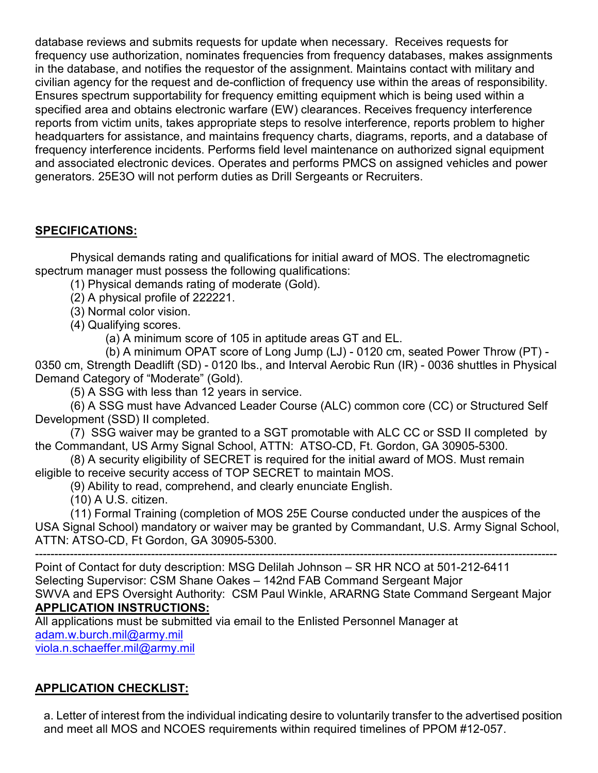database reviews and submits requests for update when necessary. Receives requests for frequency use authorization, nominates frequencies from frequency databases, makes assignments in the database, and notifies the requestor of the assignment. Maintains contact with military and civilian agency for the request and de-confliction of frequency use within the areas of responsibility. Ensures spectrum supportability for frequency emitting equipment which is being used within a specified area and obtains electronic warfare (EW) clearances. Receives frequency interference reports from victim units, takes appropriate steps to resolve interference, reports problem to higher headquarters for assistance, and maintains frequency charts, diagrams, reports, and a database of frequency interference incidents. Performs field level maintenance on authorized signal equipment and associated electronic devices. Operates and performs PMCS on assigned vehicles and power generators. 25E3O will not perform duties as Drill Sergeants or Recruiters.

## **SPECIFICATIONS:**

Physical demands rating and qualifications for initial award of MOS. The electromagnetic spectrum manager must possess the following qualifications:

- (1) Physical demands rating of moderate (Gold).
- (2) A physical profile of 222221.
- (3) Normal color vision.
- (4) Qualifying scores.

(a) A minimum score of 105 in aptitude areas GT and EL.

(b) A minimum OPAT score of Long Jump (LJ) - 0120 cm, seated Power Throw (PT) - 0350 cm, Strength Deadlift (SD) - 0120 lbs., and Interval Aerobic Run (IR) - 0036 shuttles in Physical Demand Category of "Moderate" (Gold).

(5) A SSG with less than 12 years in service.

(6) A SSG must have Advanced Leader Course (ALC) common core (CC) or Structured Self Development (SSD) II completed.

(7) SSG waiver may be granted to a SGT promotable with ALC CC or SSD II completed by the Commandant, US Army Signal School, ATTN: ATSO-CD, Ft. Gordon, GA 30905-5300.

(8) A security eligibility of SECRET is required for the initial award of MOS. Must remain eligible to receive security access of TOP SECRET to maintain MOS.

(9) Ability to read, comprehend, and clearly enunciate English.

(10) A U.S. citizen.

(11) Formal Training (completion of MOS 25E Course conducted under the auspices of the USA Signal School) mandatory or waiver may be granted by Commandant, U.S. Army Signal School, ATTN: ATSO-CD, Ft Gordon, GA 30905-5300.

---------------------------------------------------------------------------------------------------------------------------------------

Point of Contact for duty description: MSG Delilah Johnson – SR HR NCO at 501-212-6411 Selecting Supervisor: CSM Shane Oakes – 142nd FAB Command Sergeant Major SWVA and EPS Oversight Authority: CSM Paul Winkle, ARARNG State Command Sergeant Major **APPLICATION INSTRUCTIONS:**

All applications must be submitted via email to the Enlisted Personnel Manager at [adam.w.burch.mil@army.mil](mailto:adam.w.burch.mil@army.mil)

[viola.n.schaeffer.mil@army.mil](mailto:viola.n.schaeffer.mil@army.mil)

# **APPLICATION CHECKLIST:**

a. Letter of interest from the individual indicating desire to voluntarily transfer to the advertised position and meet all MOS and NCOES requirements within required timelines of PPOM #12-057.